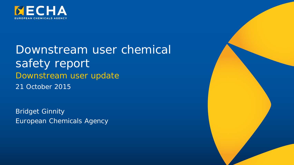

Downstream user chemical safety report Downstream user update 21 October 2015

Bridget Ginnity European Chemicals Agency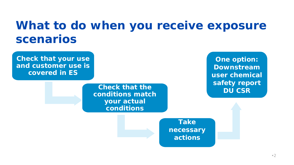### **What to do when you receive exposure scenarios**

**Check that your use and customer use is covered in ES Check that the conditions match your actual conditions Take necessary actions One option: Downstream user chemical safety report DU CSR**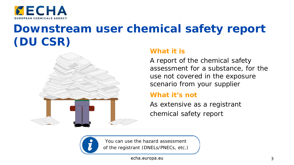

### **Downstream user chemical safety report (DU CSR)**



### **What it is**

A report of the chemical safety assessment for a substance, for the use not covered in the exposure scenario from your supplier

#### **What it's not**

As extensive as a registrant chemical safety report



You can use the hazard assessment of the registrant (DNELs/PNECs, etc.)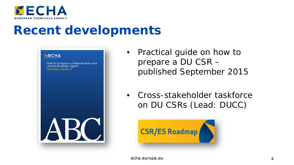

### **Recent developments**



- Practical guide on how to prepare a DU CSR – published September 2015
- Cross-stakeholder taskforce on DU CSRs (Lead: DUCC)

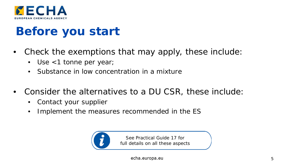

## **Before you start**

- Check the exemptions that may apply, these include:
	- Use <1 tonne per year;
	- Substance in low concentration in a mixture
- Consider the alternatives to a DU CSR, these include:
	- Contact your supplier
	- Implement the measures recommended in the ES



See Practical Guide 17 for full details on all these aspects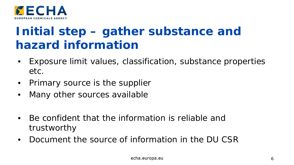

### **Initial step – gather substance and hazard information**

- Exposure limit values, classification, substance properties etc.
- Primary source is the supplier
- Many other sources available
- Be confident that the information is reliable and trustworthy
- Document the source of information in the DU CSR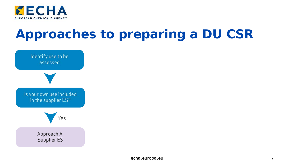

# **Approaches to preparing a DU CSR**

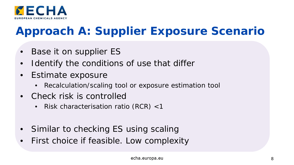

### **Approach A: Supplier Exposure Scenario**

- Base it on supplier ES
- I dentify the conditions of use that differ
- Estimate exposure
	- Recalculation/scaling tool or exposure estimation tool
- Check risk is controlled
	- Risk characterisation ratio (RCR) <1
- Similar to checking ES using scaling
- First choice if feasible. Low complexity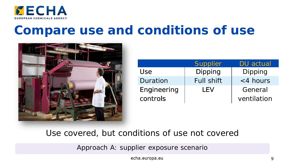

## **Compare use and conditions of use**



|             | <b>Supplier</b>   | <b>DU</b> actual |  |
|-------------|-------------------|------------------|--|
| Use.        | Dipping           | Dipping          |  |
| Duration    | <b>Full shift</b> | <4 hours         |  |
| Engineering | I FV              | General          |  |
| controls    |                   | ventilation      |  |

### Use covered, but conditions of use not covered

Approach A: supplier exposure scenario

echa.europa.eu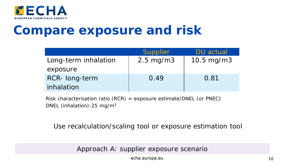

## **Compare exposure and risk**

|                      | <b>Supplier</b>      | DU actual    |
|----------------------|----------------------|--------------|
| Long-term inhalation | $2.5 \text{ mg/m}$ 3 | 10.5 $mg/m3$ |
| exposure             |                      |              |
| RCR- long-term       | 0.49                 | 0.81         |
| inhalation           |                      |              |

Risk characterisation ratio (RCR) = exposure estimate/DNEL (or PNEC) DNEL (inhalation):25 mg/m3

Use recalculation/scaling tool or exposure estimation tool

Approach A: supplier exposure scenario

echa.europa.eu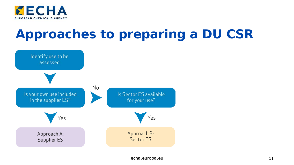

# **Approaches to preparing a DU CSR**

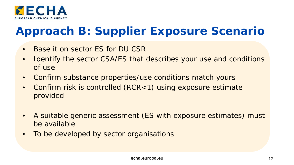

### **Approach B: Supplier Exposure Scenario**

- Base it on sector ES for DU CSR
- Identify the sector CSA/ES that describes your use and conditions of use
- Confirm substance properties/use conditions match yours
- Confirm risk is controlled (RCR<1) using exposure estimate provided
- A suitable generic assessment (ES with exposure estimates) must be available
- To be developed by sector organisations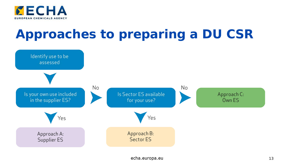

# **Approaches to preparing a DU CSR**

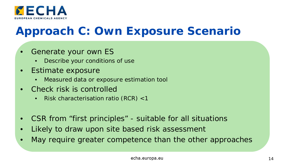

### **Approach C: Own Exposure Scenario**

- Generate your own ES
	- Describe your conditions of use
- Estimate exposure
	- Measured data or exposure estimation tool
- Check risk is controlled
	- Risk characterisation ratio (RCR) <1
- CSR from "first principles" suitable for all situations
- Likely to draw upon site based risk assessment
- May require greater competence than the other approaches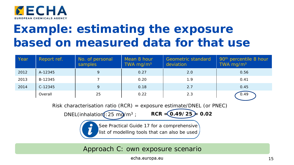

## **Example: estimating the exposure based on measured data for that use**

| Year | Report ref. | No. of personal<br>samples | Mean 8 hour<br>TWA mg/m <sup>3</sup> | <b>Geometric standard</b><br>deviation | 90 <sup>th</sup> percentile 8 hour<br>TWA mg/ $m3$ |
|------|-------------|----------------------------|--------------------------------------|----------------------------------------|----------------------------------------------------|
| 2012 | A-12345     | 9                          | 0.27                                 | 2.0                                    | 0.56                                               |
| 2013 | B-12345     |                            | 0.20                                 | 1.9                                    | 0.41                                               |
| 2014 | $C-12345$   | 9                          | 0.18                                 | 2.7                                    | 0.45                                               |
|      | Overall     | 25                         | 0.22                                 | 2.3                                    | 0.49                                               |

Risk characterisation ratio (RCR) = exposure estimate/DNEL (or PNEC)

 $DNEL(inhalation):25 \text{ mQ/m}^3$  ; **RCR = 0.49/25 = 0.02** 

See Practical Guide 17 for a comprehensive

list of modelling tools that can also be used

Approach C: own exposure scenario

echa.europa.eu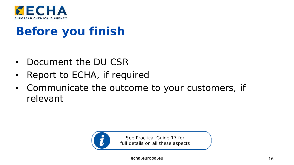

### **Before you finish**

- Document the DU CSR
- Report to ECHA, if required
- Communicate the outcome to your customers, if relevant



See Practical Guide 17 for full details on all these aspects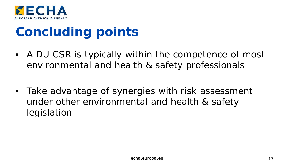

## **Concluding points**

- A DU CSR is typically within the competence of most environmental and health & safety professionals
- Take advantage of synergies with risk assessment under other environmental and health & safety legislation